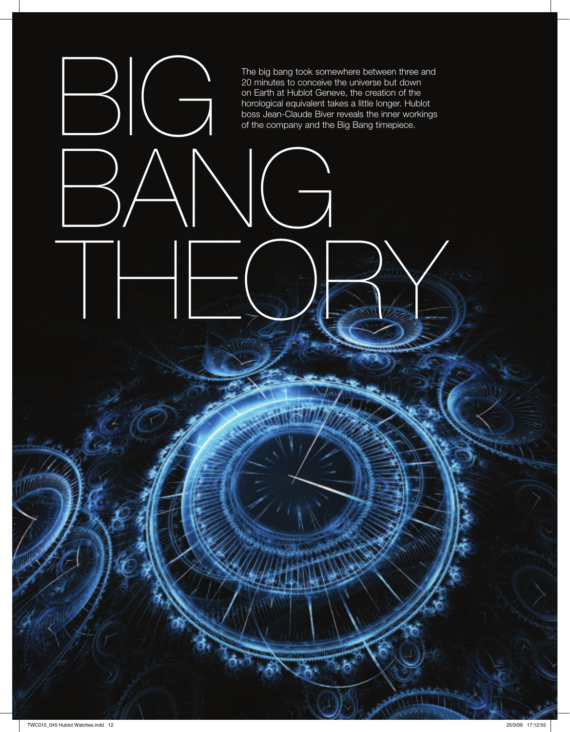